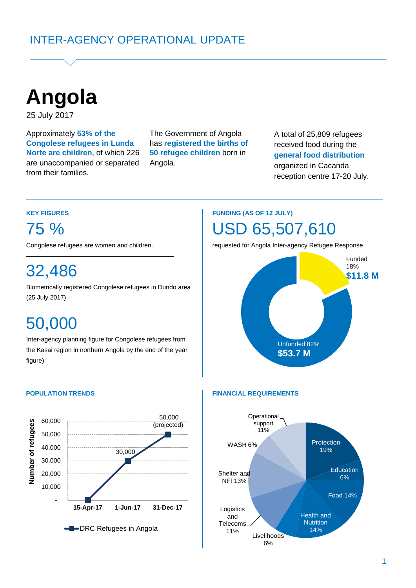**Angola**

25 July 2017

Approximately **53% of the Congolese refugees in Lunda Norte are children**, of which 226 are unaccompanied or separated from their families.

The Government of Angola has **registered the births of 50 refugee children** born in Angola.

A total of 25,809 refugees received food during the **general food distribution**  organized in Cacanda reception centre 17-20 July.

### **KEY FIGURES**

75 %

Congolese refugees are women and children.

# 32,486

Biometrically registered Congolese refugees in Dundo area (25 July 2017) (5 July 2017)**. June)**

# 50,000

Inter-agency planning figure for Congolese refugees from the Kasai region in northern Angola by the end of the year figure)



## **FUNDING (AS OF 12 JULY)** USD 65,507,610

requested for Angola Inter-agency Refugee Response



### **POPULATION TRENDS FINANCIAL REQUIREMENTS**

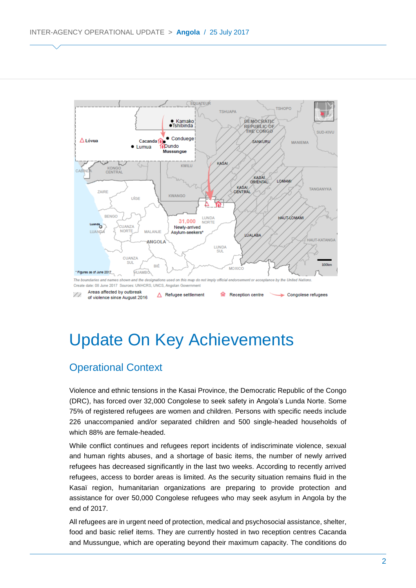

# Update On Key Achievements

### Operational Context

Violence and ethnic tensions in the Kasai Province, the Democratic Republic of the Congo (DRC), has forced over 32,000 Congolese to seek safety in Angola's Lunda Norte. Some 75% of registered refugees are women and children. Persons with specific needs include 226 unaccompanied and/or separated children and 500 single-headed households of which 88% are female-headed.

While conflict continues and refugees report incidents of indiscriminate violence, sexual and human rights abuses, and a shortage of basic items, the number of newly arrived refugees has decreased significantly in the last two weeks. According to recently arrived refugees, access to border areas is limited. As the security situation remains fluid in the Kasaï region, humanitarian organizations are preparing to provide protection and assistance for over 50,000 Congolese refugees who may seek asylum in Angola by the end of 2017.

All refugees are in urgent need of protection, medical and psychosocial assistance, shelter, food and basic relief items. They are currently hosted in two reception centres Cacanda and Mussungue, which are operating beyond their maximum capacity. The conditions do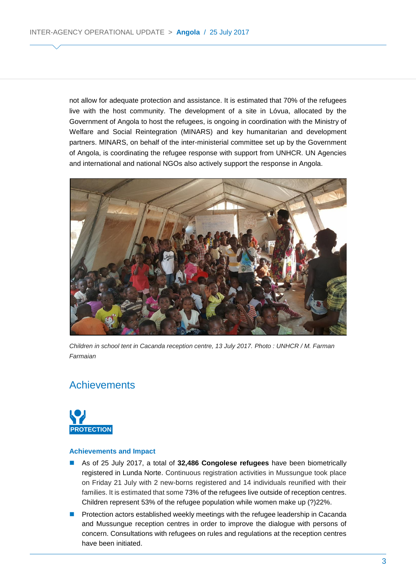not allow for adequate protection and assistance. It is estimated that 70% of the refugees live with the host community. The development of a site in Lóvua, allocated by the Government of Angola to host the refugees, is ongoing in coordination with the Ministry of Welfare and Social Reintegration (MINARS) and key humanitarian and development partners. MINARS, on behalf of the inter-ministerial committee set up by the Government of Angola, is coordinating the refugee response with support from UNHCR. UN Agencies and international and national NGOs also actively support the response in Angola.



World Refugee *Children in school tent in Cacanda reception centre, 13 July 2017. Photo : UNHCR / M. Farman Farmaian*

### **Achievements**



### **Achievements and Impact**

- As of 25 July 2017, a total of 32,486 Congolese refugees have been biometrically registered in Lunda Norte. Continuous registration activities in Mussungue took place on Friday 21 July with 2 new-borns registered and 14 individuals reunified with their families. It is estimated that some 73% of the refugees live outside of reception centres. Children represent 53% of the refugee population while women make up (?)22%.
- **Protection actors established weekly meetings with the refugee leadership in Cacanda** and Mussungue reception centres in order to improve the dialogue with persons of concern. Consultations with refugees on rules and regulations at the reception centres have been initiated.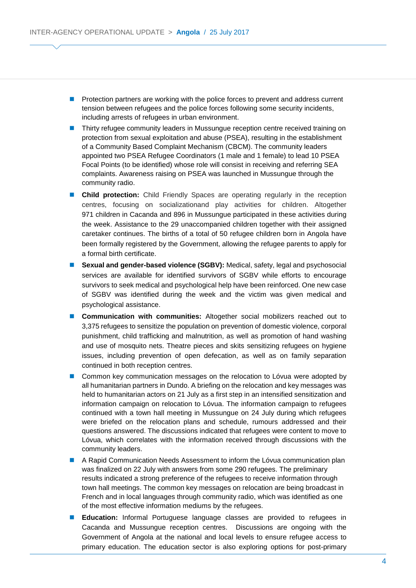- **Protection partners are working with the police forces to prevent and address current** tension between refugees and the police forces following some security incidents, including arrests of refugees in urban environment.
- **Thirty refugee community leaders in Mussungue reception centre received training on** protection from sexual exploitation and abuse (PSEA), resulting in the establishment of a Community Based Complaint Mechanism (CBCM). The community leaders appointed two PSEA Refugee Coordinators (1 male and 1 female) to lead 10 PSEA Focal Points (to be identified) whose role will consist in receiving and referring SEA complaints. Awareness raising on PSEA was launched in Mussungue through the community radio.
- **Child protection:** Child Friendly Spaces are operating regularly in the reception centres, focusing on socializationand play activities for children. Altogether 971 children in Cacanda and 896 in Mussungue participated in these activities during the week. Assistance to the 29 unaccompanied children together with their assigned caretaker continues. The births of a total of 50 refugee children born in Angola have been formally registered by the Government, allowing the refugee parents to apply for a formal birth certificate.
- **Sexual and gender-based violence (SGBV):** Medical, safety, legal and psychosocial services are available for identified survivors of SGBV while efforts to encourage survivors to seek medical and psychological help have been reinforced. One new case of SGBV was identified during the week and the victim was given medical and psychological assistance.
- **Communication with communities:** Altogether social mobilizers reached out to 3,375 refugees to sensitize the population on prevention of domestic violence, corporal punishment, child trafficking and malnutrition, as well as promotion of hand washing and use of mosquito nets. Theatre pieces and skits sensitizing refugees on hygiene issues, including prevention of open defecation, as well as on family separation continued in both reception centres.
- Common key communication messages on the relocation to Lóvua were adopted by all humanitarian partners in Dundo. A briefing on the relocation and key messages was held to humanitarian actors on 21 July as a first step in an intensified sensitization and information campaign on relocation to Lóvua. The information campaign to refugees continued with a town hall meeting in Mussungue on 24 July during which refugees were briefed on the relocation plans and schedule, rumours addressed and their questions answered. The discussions indicated that refugees were content to move to Lóvua, which correlates with the information received through discussions with the community leaders.
- A Rapid Communication Needs Assessment to inform the Lóvua communication plan was finalized on 22 July with answers from some 290 refugees. The preliminary results indicated a strong preference of the refugees to receive information through town hall meetings. The common key messages on relocation are being broadcast in French and in local languages through community radio, which was identified as one of the most effective information mediums by the refugees.
- **Education:** Informal Portuguese language classes are provided to refugees in Cacanda and Mussungue reception centres. Discussions are ongoing with the Government of Angola at the national and local levels to ensure refugee access to primary education. The education sector is also exploring options for post-primary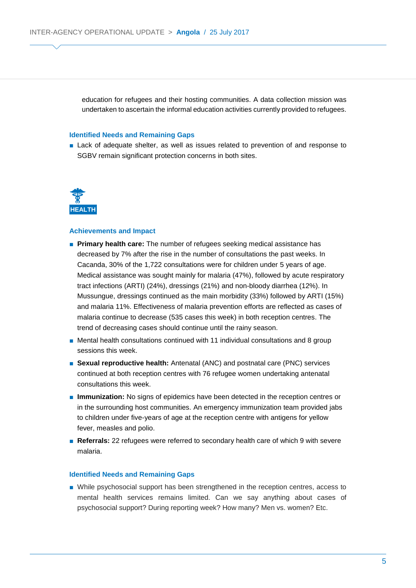education for refugees and their hosting communities. A data collection mission was undertaken to ascertain the informal education activities currently provided to refugees.

### **Identified Needs and Remaining Gaps**

■ Lack of adequate shelter, as well as issues related to prevention of and response to SGBV remain significant protection concerns in both sites.



#### **Achievements and Impact**

- **Primary health care:** The number of refugees seeking medical assistance has decreased by 7% after the rise in the number of consultations the past weeks. In Cacanda, 30% of the 1,722 consultations were for children under 5 years of age. Medical assistance was sought mainly for malaria (47%), followed by acute respiratory tract infections (ARTI) (24%), dressings (21%) and non-bloody diarrhea (12%). In Mussungue, dressings continued as the main morbidity (33%) followed by ARTI (15%) and malaria 11%. Effectiveness of malaria prevention efforts are reflected as cases of malaria continue to decrease (535 cases this week) in both reception centres. The trend of decreasing cases should continue until the rainy season.
- Mental health consultations continued with 11 individual consultations and 8 group sessions this week.
- **Sexual reproductive health:** Antenatal (ANC) and postnatal care (PNC) services continued at both reception centres with 76 refugee women undertaking antenatal consultations this week.
- **Immunization:** No signs of epidemics have been detected in the reception centres or in the surrounding host communities. An emergency immunization team provided jabs to children under five-years of age at the reception centre with antigens for yellow fever, measles and polio.
- **Referrals:** 22 refugees were referred to secondary health care of which 9 with severe malaria.

#### **Identified Needs and Remaining Gaps**

■ While psychosocial support has been strengthened in the reception centres, access to mental health services remains limited. Can we say anything about cases of psychosocial support? During reporting week? How many? Men vs. women? Etc.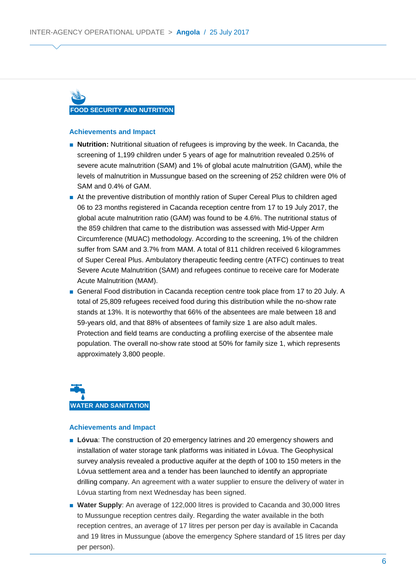# **FOOD SECURITY AND NUTRITION**

### **Achievements and Impact**

- **Nutrition:** Nutritional situation of refugees is improving by the week. In Cacanda, the screening of 1,199 children under 5 years of age for malnutrition revealed 0.25% of severe acute malnutrition (SAM) and 1% of global acute malnutrition (GAM), while the levels of malnutrition in Mussungue based on the screening of 252 children were 0% of SAM and 0.4% of GAM.
- At the preventive distribution of monthly ration of Super Cereal Plus to children aged 06 to 23 months registered in Cacanda reception centre from 17 to 19 July 2017, the global acute malnutrition ratio (GAM) was found to be 4.6%. The nutritional status of the 859 children that came to the distribution was assessed with Mid-Upper Arm Circumference (MUAC) methodology. According to the screening, 1% of the children suffer from SAM and 3.7% from MAM. A total of 811 children received 6 kilogrammes of Super Cereal Plus. Ambulatory therapeutic feeding centre (ATFC) continues to treat Severe Acute Malnutrition (SAM) and refugees continue to receive care for Moderate Acute Malnutrition (MAM).
- General Food distribution in Cacanda reception centre took place from 17 to 20 July. A total of 25,809 refugees received food during this distribution while the no-show rate stands at 13%. It is noteworthy that 66% of the absentees are male between 18 and 59-years old, and that 88% of absentees of family size 1 are also adult males. Protection and field teams are conducting a profiling exercise of the absentee male population. The overall no-show rate stood at 50% for family size 1, which represents approximately 3,800 people.



### **Achievements and Impact**

- **Lóvua**: The construction of 20 emergency latrines and 20 emergency showers and installation of water storage tank platforms was initiated in Lóvua. The Geophysical survey analysis revealed a productive aquifer at the depth of 100 to 150 meters in the Lóvua settlement area and a tender has been launched to identify an appropriate drilling company. An agreement with a water supplier to ensure the delivery of water in Lóvua starting from next Wednesday has been signed.
- **Water Supply**: An average of 122,000 litres is provided to Cacanda and 30,000 litres to Mussungue reception centres daily. Regarding the water available in the both reception centres, an average of 17 litres per person per day is available in Cacanda and 19 litres in Mussungue (above the emergency Sphere standard of 15 litres per day per person).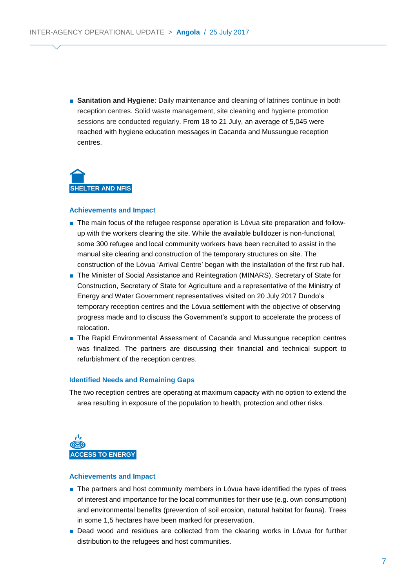■ **Sanitation and Hygiene**: Daily maintenance and cleaning of latrines continue in both reception centres. Solid waste management, site cleaning and hygiene promotion sessions are conducted regularly. From 18 to 21 July, an average of 5,045 were reached with hygiene education messages in Cacanda and Mussungue reception centres.

**SHELTER AND NFIS**

### **Achievements and Impact**

- The main focus of the refugee response operation is Lóvua site preparation and followup with the workers clearing the site. While the available bulldozer is non-functional, some 300 refugee and local community workers have been recruited to assist in the manual site clearing and construction of the temporary structures on site. The construction of the Lóvua 'Arrival Centre' began with the installation of the first rub hall.
- The Minister of Social Assistance and Reintegration (MINARS), Secretary of State for Construction, Secretary of State for Agriculture and a representative of the Ministry of Energy and Water Government representatives visited on 20 July 2017 Dundo's temporary reception centres and the Lóvua settlement with the objective of observing progress made and to discuss the Government's support to accelerate the process of relocation.
- The Rapid Environmental Assessment of Cacanda and Mussungue reception centres was finalized. The partners are discussing their financial and technical support to refurbishment of the reception centres.

#### **Identified Needs and Remaining Gaps**

The two reception centres are operating at maximum capacity with no option to extend the area resulting in exposure of the population to health, protection and other risks.



#### **Achievements and Impact**

- The partners and host community members in Lóvua have identified the types of trees of interest and importance for the local communities for their use (e.g. own consumption) and environmental benefits (prevention of soil erosion, natural habitat for fauna). Trees in some 1,5 hectares have been marked for preservation.
- Dead wood and residues are collected from the clearing works in Lóvua for further distribution to the refugees and host communities.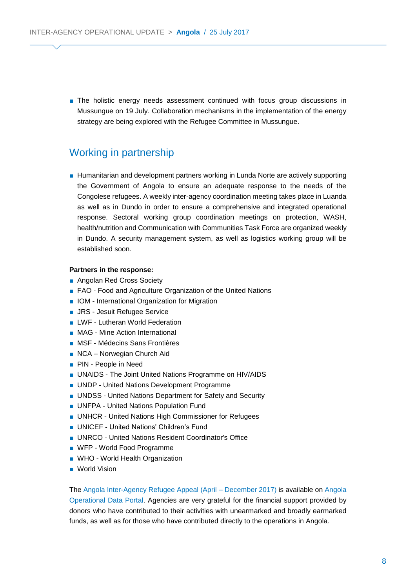■ The holistic energy needs assessment continued with focus group discussions in Mussungue on 19 July. Collaboration mechanisms in the implementation of the energy strategy are being explored with the Refugee Committee in Mussungue.

### Working in partnership

■ Humanitarian and development partners working in Lunda Norte are actively supporting the Government of Angola to ensure an adequate response to the needs of the Congolese refugees. A weekly inter-agency coordination meeting takes place in Luanda as well as in Dundo in order to ensure a comprehensive and integrated operational response. Sectoral working group coordination meetings on protection, WASH, health/nutrition and Communication with Communities Task Force are organized weekly in Dundo. A security management system, as well as logistics working group will be established soon.

### **Partners in the response:**

- Angolan Red Cross Society
- FAO Food and Agriculture Organization of the United Nations
- IOM International Organization for Migration
- JRS Jesuit Refugee Service
- LWF Lutheran World Federation
- MAG Mine Action International
- MSF Médecins Sans Frontières
- NCA Norwegian Church Aid
- PIN People in Need
- UNAIDS The Joint United Nations Programme on HIV/AIDS
- UNDP United Nations Development Programme
- UNDSS United Nations Department for Safety and Security
- UNFPA United Nations Population Fund
- UNHCR United Nations High Commissioner for Refugees
- UNICEF United Nations' Children's Fund
- UNRCO United Nations Resident Coordinator's Office
- WFP World Food Programme
- WHO World Health Organization
- World Vision

The [Angola Inter-Agency Refugee Appeal \(April –](http://reporting.unhcr.org/sites/default/files/Angola%20Inter-Agency%20Refugee%20Appeal%20-%20Apr-Dec%202017%20--%2012%20June%202017.pdf) December 2017) is available on [Angola](https://data2.unhcr.org/en/country/ago)  [Operational Data Portal.](https://data2.unhcr.org/en/country/ago) Agencies are very grateful for the financial support provided by donors who have contributed to their activities with unearmarked and broadly earmarked funds, as well as for those who have contributed directly to the operations in Angola.